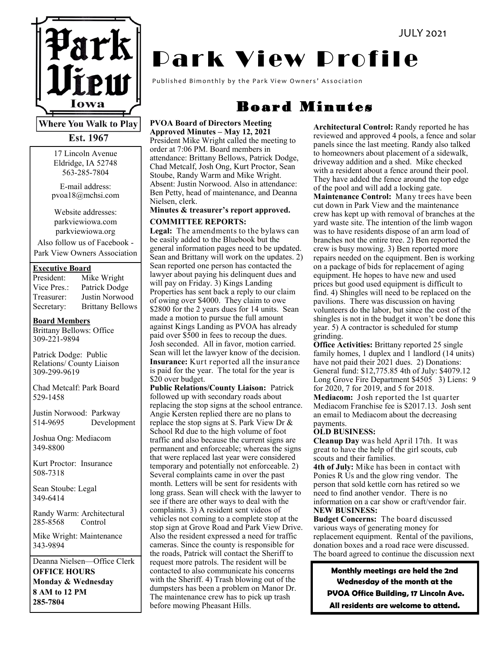

**Where You Walk to Play** Est. 1967

> 17 Lincoln Avenue Eldridge, IA 52748 563-285-7804

E-mail address: pvoa18@mchsi.com

Website addresses: parkviewiowa.com parkviewiowa.org

Also follow us of Facebook - Park View Owners Association

#### **Executive Board**

| President:  | Mike Wright             |
|-------------|-------------------------|
| Vice Pres.: | Patrick Dodge           |
| Treasurer:  | Justin Norwood          |
| Secretary:  | <b>Brittany Bellows</b> |

#### **Board Members**

Brittany Bellows: Office 309-221-9894

Patrick Dodge: Public Relations/ County Liaison 309-299-9619

Chad Metcalf: Park Board 529-1458

Justin Norwood: Parkway 514-9695 Development

Joshua Ong: Mediacom 349-8800

Kurt Proctor: Insurance 508-7318

Sean Stoube: Legal 349-6414

Randy Warm: Architectural 285-8568 Control

Mike Wright: Maintenance 343-9894

Deanna Nielsen—Office Clerk **OFFICE HOURS Monday & Wednesday 8 AM to 12 PM 285-7804**

# **Park View Profile**

Published Bimonthly by the Park View Owners' Association

# Board Minutes

### **PVOA Board of Directors Meeting**

**Approved Minutes – May 12, 2021** President Mike Wright called the meeting to order at 7:06 PM. Board members in attendance: Brittany Bellows, Patrick Dodge, Chad Metcalf, Josh Ong, Kurt Proctor, Sean Stoube, Randy Warm and Mike Wright. Absent: Justin Norwood. Also in attendance: Ben Petty, head of maintenance, and Deanna Nielsen, clerk.

#### **Minutes & treasurer's report approved. COMMITTEE REPORTS:**

**Legal:** The amendments to the bylaws can be easily added to the Bluebook but the general information pages need to be updated. Sean and Brittany will work on the updates. 2) Sean reported one person has contacted the lawyer about paying his delinquent dues and will pay on Friday. 3) Kings Landing Properties has sent back a reply to our claim of owing over \$4000. They claim to owe \$2800 for the 2 years dues for 14 units. Sean made a motion to pursue the full amount against Kings Landing as PVOA has already paid over \$500 in fees to recoup the dues. Josh seconded. All in favor, motion carried. Sean will let the lawyer know of the decision. **Insurance:** Kurt reported all the insurance is paid for the year. The total for the year is \$20 over budget.

**Public Relations/County Liaison:** Patrick followed up with secondary roads about replacing the stop signs at the school entrance. Angie Kersten replied there are no plans to replace the stop signs at S. Park View Dr & School Rd due to the high volume of foot traffic and also because the current signs are permanent and enforceable; whereas the signs that were replaced last year were considered temporary and potentially not enforceable. 2) Several complaints came in over the past month. Letters will be sent for residents with long grass. Sean will check with the lawyer to see if there are other ways to deal with the complaints. 3) A resident sent videos of vehicles not coming to a complete stop at the stop sign at Grove Road and Park View Drive. Also the resident expressed a need for traffic cameras. Since the county is responsible for the roads, Patrick will contact the Sheriff to request more patrols. The resident will be contacted to also communicate his concerns with the Sheriff. 4) Trash blowing out of the dumpsters has been a problem on Manor Dr. The maintenance crew has to pick up trash before mowing Pheasant Hills.

**Architectural Control:** Randy reported he has reviewed and approved 4 pools, a fence and solar panels since the last meeting. Randy also talked to homeowners about placement of a sidewalk, driveway addition and a shed. Mike checked with a resident about a fence around their pool. They have added the fence around the top edge of the pool and will add a locking gate. **Maintenance Control:** Many trees have been cut down in Park View and the maintenance crew has kept up with removal of branches at the yard waste site. The intention of the limb wagon was to have residents dispose of an arm load of branches not the entire tree. 2) Ben reported the crew is busy mowing. 3) Ben reported more repairs needed on the equipment. Ben is working on a package of bids for replacement of aging equipment. He hopes to have new and used prices but good used equipment is difficult to find. 4) Shingles will need to be replaced on the pavilions. There was discussion on having volunteers do the labor, but since the cost of the shingles is not in the budget it won't be done this year. 5) A contractor is scheduled for stump grinding.

**Office Activities:** Brittany reported 25 single family homes, 1 duplex and 1 landlord (14 units) have not paid their 2021 dues. 2) Donations: General fund: \$12,775.85 4th of July: \$4079.12 Long Grove Fire Department \$4505 3) Liens: 9 for 2020, 7 for 2019, and 5 for 2018.

**Mediacom:** Josh reported the 1st quarter Mediacom Franchise fee is \$2017.13. Josh sent an email to Mediacom about the decreasing payments.

#### **OLD BUSINESS:**

**Cleanup Day** was held April 17th. It was great to have the help of the girl scouts, cub scouts and their families.

**4th of July:** Mike has been in contact with Ponies R Us and the glow ring vendor. The person that sold kettle corn has retired so we need to find another vendor. There is no information on a car show or craft/vendor fair. **NEW BUSINESS:**

**Budget Concerns:** The board discussed various ways of generating money for replacement equipment. Rental of the pavilions, donation boxes and a road race were discussed. The board agreed to continue the discussion next

**Monthly meetings are held the 2nd Wednesday of the month at the PVOA Office Building, 17 Lincoln Ave. All residents are welcome to attend.**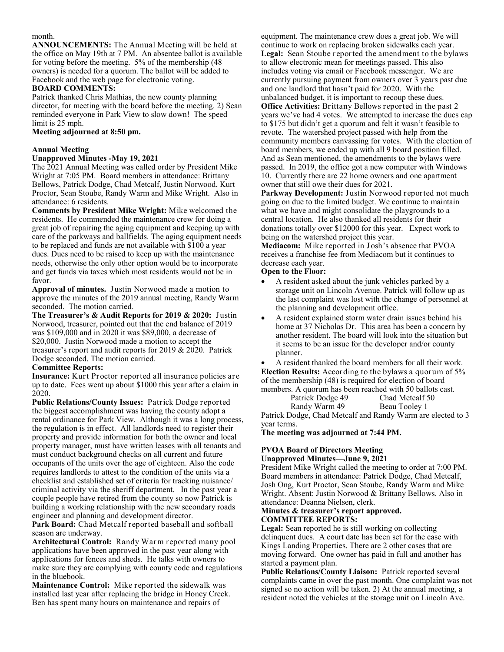#### month.

**ANNOUNCEMENTS:** The Annual Meeting will be held at the office on May 19th at 7 PM. An absentee ballot is available for voting before the meeting. 5% of the membership (48 owners) is needed for a quorum. The ballot will be added to Facebook and the web page for electronic voting.

#### **BOARD COMMENTS:**

Patrick thanked Chris Mathias, the new county planning director, for meeting with the board before the meeting. 2) Sean reminded everyone in Park View to slow down! The speed limit is 25 mph.

#### **Meeting adjourned at 8:50 pm.**

#### **Annual Meeting**

#### **Unapproved Minutes -May 19, 2021**

The 2021 Annual Meeting was called order by President Mike Wright at 7:05 PM. Board members in attendance: Brittany Bellows, Patrick Dodge, Chad Metcalf, Justin Norwood, Kurt Proctor, Sean Stoube, Randy Warm and Mike Wright. Also in attendance: 6 residents.

**Comments by President Mike Wright:** Mike welcomed the residents. He commended the maintenance crew for doing a great job of repairing the aging equipment and keeping up with care of the parkways and ballfields. The aging equipment needs to be replaced and funds are not available with \$100 a year dues. Dues need to be raised to keep up with the maintenance needs, otherwise the only other option would be to incorporate and get funds via taxes which most residents would not be in favor.

**Approval of minutes.** Justin Norwood made a motion to approve the minutes of the 2019 annual meeting, Randy Warm seconded. The motion carried.

**The Treasurer's & Audit Reports for 2019 & 2020:** Justin Norwood, treasurer, pointed out that the end balance of 2019 was \$109,000 and in 2020 it was \$89,000, a decrease of \$20,000. Justin Norwood made a motion to accept the treasurer's report and audit reports for 2019 & 2020. Patrick Dodge seconded. The motion carried.

#### **Committee Reports:**

**Insurance:** Kurt Proctor reported all insurance policies are up to date. Fees went up about \$1000 this year after a claim in 2020.

**Public Relations/County Issues:** Patrick Dodge reported the biggest accomplishment was having the county adopt a rental ordinance for Park View. Although it was a long process, the regulation is in effect. All landlords need to register their property and provide information for both the owner and local property manager, must have written leases with all tenants and must conduct background checks on all current and future occupants of the units over the age of eighteen. Also the code requires landlords to attest to the condition of the units via a checklist and established set of criteria for tracking nuisance/ criminal activity via the sheriff department. In the past year a couple people have retired from the county so now Patrick is building a working relationship with the new secondary roads engineer and planning and development director.

**Park Board:** Chad Metcalf reported baseball and softball season are underway.

**Architectural Control:** Randy Warm reported many pool applications have been approved in the past year along with applications for fences and sheds. He talks with owners to make sure they are complying with county code and regulations in the bluebook.

**Maintenance Control:** Mike reported the sidewalk was installed last year after replacing the bridge in Honey Creek. Ben has spent many hours on maintenance and repairs of

equipment. The maintenance crew does a great job. We will continue to work on replacing broken sidewalks each year. **Legal:** Sean Stoube reported the amendment to the bylaws to allow electronic mean for meetings passed. This also includes voting via email or Facebook messenger. We are currently pursuing payment from owners over 3 years past due and one landlord that hasn't paid for 2020. With the unbalanced budget, it is important to recoup these dues. **Office Activities:** Brittany Bellows reported in the past 2 years we've had 4 votes. We attempted to increase the dues cap to \$175 but didn't get a quorum and felt it wasn't feasible to revote. The watershed project passed with help from the community members canvassing for votes. With the election of board members, we ended up with all 9 board position filled. And as Sean mentioned, the amendments to the bylaws were passed. In 2019, the office got a new computer with Windows 10. Currently there are 22 home owners and one apartment owner that still owe their dues for 2021.

**Parkway Development:** Justin Norwood reported not much going on due to the limited budget. We continue to maintain what we have and might consolidate the playgrounds to a central location. He also thanked all residents for their donations totally over \$12000 for this year. Expect work to being on the watershed project this year.

**Mediacom:** Mike reported in Josh's absence that PVOA receives a franchise fee from Mediacom but it continues to decrease each year.

#### **Open to the Floor:**

- A resident asked about the junk vehicles parked by a storage unit on Lincoln Avenue. Patrick will follow up as the last complaint was lost with the change of personnel at the planning and development office.
- A resident explained storm water drain issues behind his home at 37 Nicholas Dr. This area has been a concern by another resident. The board will look into the situation but it seems to be an issue for the developer and/or county planner.

 A resident thanked the board members for all their work. **Election Results:** According to the bylaws a quorum of 5% of the membership (48) is required for election of board members. A quorum has been reached with 50 ballots cast.

Patrick Dodge 49 Chad Metcalf 50

Randy Warm 49 Beau Tooley 1 Patrick Dodge, Chad Metcalf and Randy Warm are elected to 3 year terms.

**The meeting was adjourned at 7:44 PM.** 

#### **PVOA Board of Directors Meeting Unapproved Minutes—June 9, 2021**

President Mike Wright called the meeting to order at 7:00 PM. Board members in attendance: Patrick Dodge, Chad Metcalf, Josh Ong, Kurt Proctor, Sean Stoube, Randy Warm and Mike Wright. Absent: Justin Norwood & Brittany Bellows. Also in attendance: Deanna Nielsen, clerk.

#### **Minutes & treasurer's report approved. COMMITTEE REPORTS:**

**Legal:** Sean reported he is still working on collecting delinquent dues. A court date has been set for the case with Kings Landing Properties. There are 2 other cases that are moving forward. One owner has paid in full and another has started a payment plan.

**Public Relations/County Liaison:** Patrick reported several complaints came in over the past month. One complaint was not signed so no action will be taken. 2) At the annual meeting, a resident noted the vehicles at the storage unit on Lincoln Ave.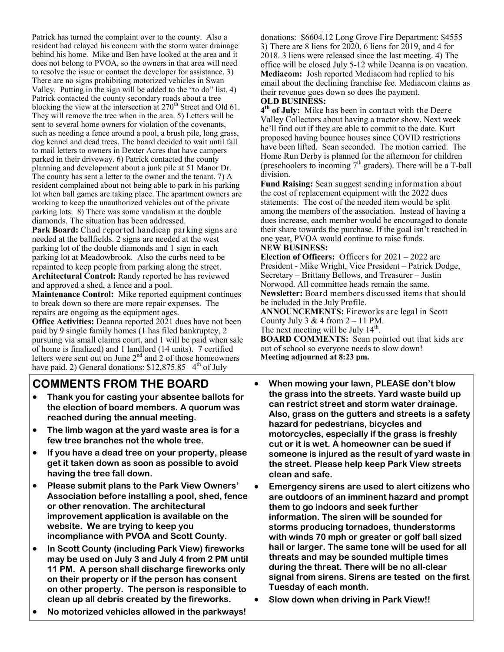Patrick has turned the complaint over to the county. Also a resident had relayed his concern with the storm water drainage behind his home. Mike and Ben have looked at the area and it does not belong to PVOA, so the owners in that area will need to resolve the issue or contact the developer for assistance. 3) There are no signs prohibiting motorized vehicles in Swan Valley. Putting in the sign will be added to the "to do" list. 4) Patrick contacted the county secondary roads about a tree blocking the view at the intersection at  $270<sup>th</sup>$  Street and Old 61. They will remove the tree when in the area. 5) Letters will be sent to several home owners for violation of the covenants, such as needing a fence around a pool, a brush pile, long grass, dog kennel and dead trees. The board decided to wait until fall to mail letters to owners in Dexter Acres that have campers parked in their driveway. 6) Patrick contacted the county planning and development about a junk pile at 51 Manor Dr. The county has sent a letter to the owner and the tenant. 7) A resident complained about not being able to park in his parking lot when ball games are taking place. The apartment owners are working to keep the unauthorized vehicles out of the private parking lots. 8) There was some vandalism at the double diamonds. The situation has been addressed.

**Park Board:** Chad reported handicap parking signs are needed at the ballfields. 2 signs are needed at the west parking lot of the double diamonds and 1 sign in each parking lot at Meadowbrook. Also the curbs need to be repainted to keep people from parking along the street. **Architectural Control:** Randy reported he has reviewed and approved a shed, a fence and a pool.

**Maintenance Control:** Mike reported equipment continues to break down so there are more repair expenses. The repairs are ongoing as the equipment ages.

**Office Activities:** Deanna reported 2021 dues have not been paid by 9 single family homes (1 has filed bankruptcy, 2 pursuing via small claims court, and 1 will be paid when sale of home is finalized) and 1 landlord (14 units). 7 certified letters were sent out on June  $2<sup>nd</sup>$  and  $2$  of those homeowners have paid. 2) General donations:  $$12,875.85$  4<sup>th</sup> of July

## **COMMENTS FROM THE BOARD**

- **Thank you for casting your absentee ballots for the election of board members. A quorum was reached during the annual meeting.**
- **The limb wagon at the yard waste area is for a few tree branches not the whole tree.**
- **If you have a dead tree on your property, please get it taken down as soon as possible to avoid having the tree fall down.**
- **Please submit plans to the Park View Owners' Association before installing a pool, shed, fence or other renovation. The architectural improvement application is available on the website. We are trying to keep you incompliance with PVOA and Scott County.**
- **In Scott County (including Park View) fireworks may be used on July 3 and July 4 from 2 PM until 11 PM. A person shall discharge fireworks only on their property or if the person has consent on other property. The person is responsible to clean up all debris created by the fireworks.**
- **No motorized vehicles allowed in the parkways!**

donations: \$6604.12 Long Grove Fire Department: \$4555 3) There are 8 liens for 2020, 6 liens for 2019, and 4 for 2018. 3 liens were released since the last meeting. 4) The office will be closed July 5-12 while Deanna is on vacation. **Mediacom:** Josh reported Mediacom had replied to his email about the declining franchise fee. Mediacom claims as their revenue goes down so does the payment. **OLD BUSINESS:**

**4 th of July:** Mike has been in contact with the Deere Valley Collectors about having a tractor show. Next week he'll find out if they are able to commit to the date. Kurt proposed having bounce houses since COVID restrictions have been lifted. Sean seconded. The motion carried. The Home Run Derby is planned for the afternoon for children (preschoolers to incoming  $7<sup>th</sup>$  graders). There will be a T-ball division.

**Fund Raising:** Sean suggest sending information about the cost of replacement equipment with the 2022 dues statements. The cost of the needed item would be split among the members of the association. Instead of having a dues increase, each member would be encouraged to donate their share towards the purchase. If the goal isn't reached in one year, PVOA would continue to raise funds.

#### **NEW BUSINESS:**

**Election of Officers:** Officers for 2021 – 2022 are President - Mike Wright, Vice President – Patrick Dodge, Secretary – Brittany Bellows, and Treasurer – Justin Norwood. All committee heads remain the same. **Newsletter:** Board members discussed items that should be included in the July Profile.

**ANNOUNCEMENTS:** Fireworks are legal in Scott County July 3 & 4 from  $2 - 11$  PM. The next meeting will be July  $14<sup>th</sup>$ .

**BOARD COMMENTS:** Sean pointed out that kids are out of school so everyone needs to slow down! **Meeting adjourned at 8:23 pm.** 

- **When mowing your lawn, PLEASE don't blow the grass into the streets. Yard waste build up can restrict street and storm water drainage. Also, grass on the gutters and streets is a safety hazard for pedestrians, bicycles and motorcycles, especially if the grass is freshly cut or it is wet. A homeowner can be sued if someone is injured as the result of yard waste in the street. Please help keep Park View streets clean and safe.**
- **Emergency sirens are used to alert citizens who are outdoors of an imminent hazard and prompt them to go indoors and seek further information. The siren will be sounded for storms producing tornadoes, thunderstorms with winds 70 mph or greater or golf ball sized hail or larger. The same tone will be used for all threats and may be sounded multiple times during the threat. There will be no all-clear signal from sirens. Sirens are tested on the first Tuesday of each month.**
- **Slow down when driving in Park View!!**